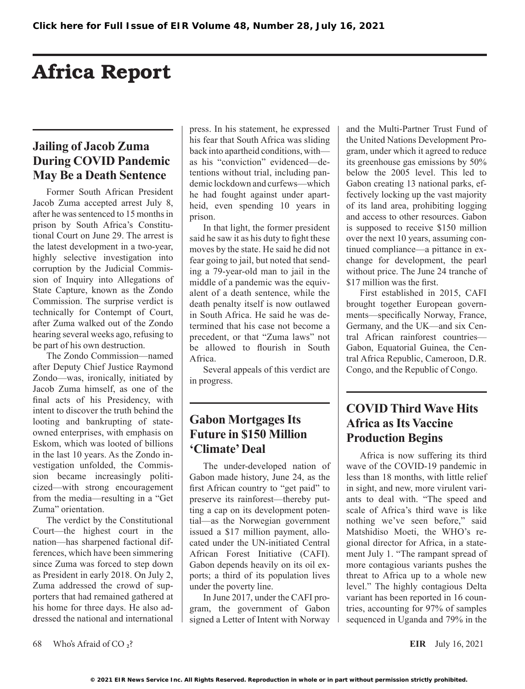# Africa Report

# **Jailing of Jacob Zuma During COVID Pandemic May Be a Death Sentence**

Former South African President Jacob Zuma accepted arrest July 8, after he was sentenced to 15 months in prison by South Africa's Constitutional Court on June 29. The arrest is the latest development in a two-year, highly selective investigation into corruption by the Judicial Commission of Inquiry into Allegations of State Capture, known as the Zondo Commission. The surprise verdict is technically for Contempt of Court, after Zuma walked out of the Zondo hearing several weeks ago, refusing to be part of his own destruction.

The Zondo Commission—named after Deputy Chief Justice Raymond Zondo—was, ironically, initiated by Jacob Zuma himself, as one of the final acts of his Presidency, with intent to discover the truth behind the looting and bankrupting of stateowned enterprises, with emphasis on Eskom, which was looted of billions in the last 10 years. As the Zondo investigation unfolded, the Commission became increasingly politicized—with strong encouragement from the media—resulting in a "Get Zuma" orientation.

The verdict by the Constitutional Court—the highest court in the nation—has sharpened factional differences, which have been simmering since Zuma was forced to step down as President in early 2018. On July 2, Zuma addressed the crowd of supporters that had remained gathered at his home for three days. He also addressed the national and international press. In his statement, he expressed his fear that South Africa was sliding back into apartheid conditions, with as his "conviction" evidenced—detentions without trial, including pandemic lockdown and curfews—which he had fought against under apartheid, even spending 10 years in prison.

In that light, the former president said he saw it as his duty to fight these moves by the state. He said he did not fear going to jail, but noted that sending a 79-year-old man to jail in the middle of a pandemic was the equivalent of a death sentence, while the death penalty itself is now outlawed in South Africa. He said he was determined that his case not become a precedent, or that "Zuma laws" not be allowed to flourish in South Africa.

Several appeals of this verdict are in progress.

# **Gabon Mortgages Its Future in \$150 Million 'Climate' Deal**

The under-developed nation of Gabon made history, June 24, as the first African country to "get paid" to preserve its rainforest—thereby putting a cap on its development potential—as the Norwegian government issued a \$17 million payment, allocated under the UN-initiated Central African Forest Initiative (CAFI). Gabon depends heavily on its oil exports; a third of its population lives under the poverty line.

In June 2017, under the CAFI program, the government of Gabon signed a Letter of Intent with Norway and the Multi-Partner Trust Fund of the United Nations Development Program, under which it agreed to reduce its greenhouse gas emissions by 50% below the 2005 level. This led to Gabon creating 13 national parks, effectively locking up the vast majority of its land area, prohibiting logging and access to other resources. Gabon is supposed to receive \$150 million over the next 10 years, assuming continued compliance—a pittance in exchange for development, the pearl without price. The June 24 tranche of \$17 million was the first.

First established in 2015, CAFI brought together European governments—specifically Norway, France, Germany, and the UK—and six Central African rainforest countries— Gabon, Equatorial Guinea, the Central Africa Republic, Cameroon, D.R. Congo, and the Republic of Congo.

### **COVID Third Wave Hits Africa as Its Vaccine Production Begins**

Africa is now suffering its third wave of the COVID-19 pandemic in less than 18 months, with little relief in sight, and new, more virulent variants to deal with. "The speed and scale of Africa's third wave is like nothing we've seen before," said Matshidiso Moeti, the WHO's regional director for Africa, in a statement July 1. "The rampant spread of more contagious variants pushes the threat to Africa up to a whole new level." The highly contagious Delta variant has been reported in 16 countries, accounting for 97% of samples sequenced in Uganda and 79% in the